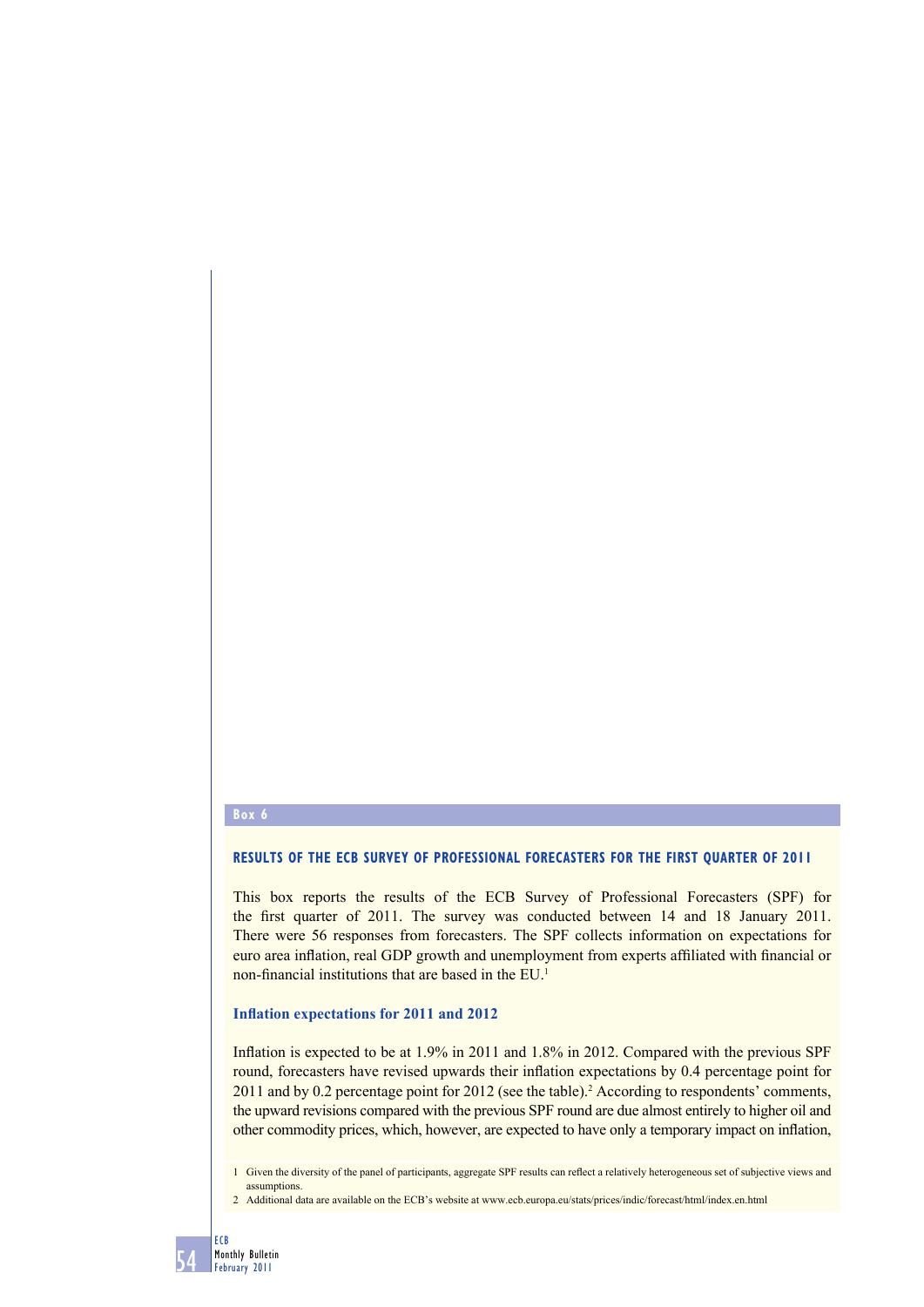#### **Box 6**

#### **RESULTS OF THE ECB SURVEY OF PROFESSIONAL FORECASTERS FOR THE FIRST QUARTER OF 2011**

This box reports the results of the ECB Survey of Professional Forecasters (SPF) for the first quarter of 2011. The survey was conducted between 14 and 18 January 2011. There were 56 responses from forecasters. The SPF collects information on expectations for euro area inflation, real GDP growth and unemployment from experts affiliated with financial or non-financial institutions that are based in the EU.<sup>1</sup>

#### **Inflation expectations for 2011 and 2012**

Inflation is expected to be at 1.9% in 2011 and 1.8% in 2012. Compared with the previous SPF round, forecasters have revised upwards their inflation expectations by  $0.4$  percentage point for 2011 and by 0.2 percentage point for 2012 (see the table).<sup>2</sup> According to respondents' comments, the upward revisions compared with the previous SPF round are due almost entirely to higher oil and other commodity prices, which, however, are expected to have only a temporary impact on inflation,

1 Given the diversity of the panel of participants, aggregate SPF results can reflect a relatively heterogeneous set of subjective views and assumptions.

2 Additional data are available on the ECB's website at www.ecb.europa.eu/stats/prices/indic/forecast/html/index.en.html

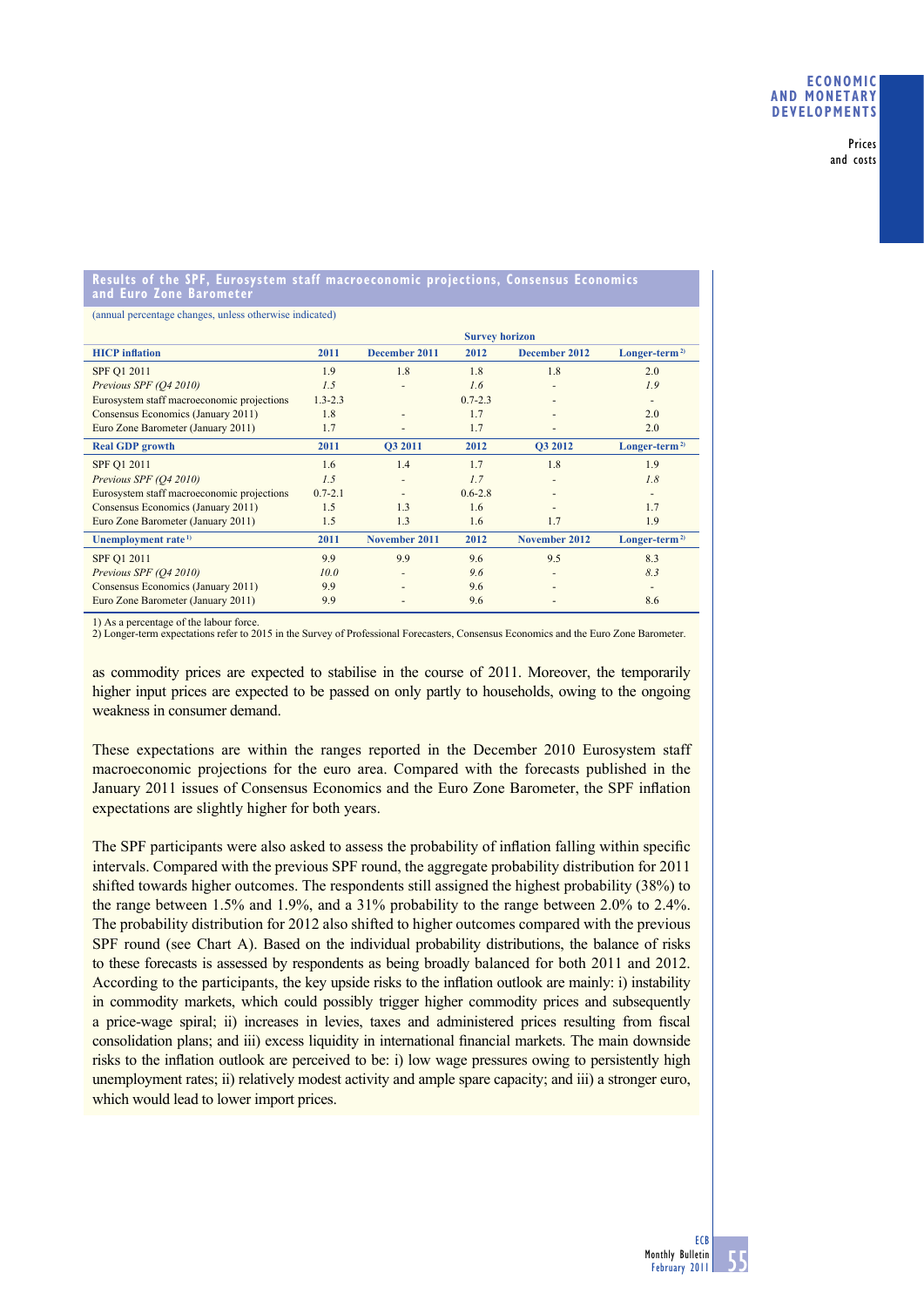Prices and costs

#### **Results of the SPF, Eurosystem staff macroeconomic projections, Consensus Economics and Euro Zone Barometer**

(annual percentage changes, unless otherwise indicated)

|                                            | <b>Survey horizon</b> |                |             |                          |                |
|--------------------------------------------|-----------------------|----------------|-------------|--------------------------|----------------|
| <b>HICP</b> inflation                      | 2011                  | December 2011  | 2012        | December 2012            | $Longer-term2$ |
| SPF Q1 2011                                | 1.9                   | 1.8            | 1.8         | 1.8                      | 2.0            |
| Previous SPF (Q4 2010)                     | 1.5                   |                | 1.6         |                          | 1.9            |
| Eurosystem staff macroeconomic projections | $1.3 - 2.3$           |                | $0.7 - 2.3$ |                          |                |
| Consensus Economics (January 2011)         | 1.8                   |                | 1.7         |                          | 2.0            |
| Euro Zone Barometer (January 2011)         | 1.7                   |                | 1.7         |                          | 2.0            |
| <b>Real GDP</b> growth                     | 2011                  | <b>O3 2011</b> | 2012        | <b>O3 2012</b>           | $Longer-term2$ |
| SPF Q1 2011                                | 1.6                   | 1.4            | 1.7         | 1.8                      | 1.9            |
| Previous SPF (O4 2010)                     | 1.5                   |                | 1.7         | ٠                        | 1.8            |
| Eurosystem staff macroeconomic projections | $0.7 - 2.1$           |                | $0.6 - 2.8$ |                          |                |
| Consensus Economics (January 2011)         | 1.5                   | 1.3            | 1.6         |                          | 1.7            |
| Euro Zone Barometer (January 2011)         | 1.5                   | 1.3            | 1.6         | 1.7                      | 1.9            |
| Unemployment rate <sup>1)</sup>            | 2011                  | November 2011  | 2012        | November 2012            | $Longer-term2$ |
| SPF Q1 2011                                | 9.9                   | 9.9            | 9.6         | 9.5                      | 8.3            |
| Previous SPF (O4 2010)                     | 10.0                  |                | 9.6         | $\overline{\phantom{a}}$ | 8.3            |
| Consensus Economics (January 2011)         | 9.9                   |                | 9.6         |                          | -              |
| Euro Zone Barometer (January 2011)         | 9.9                   |                | 9.6         |                          | 8.6            |

1) As a percentage of the labour force.

2) Longer-term expectations refer to 2015 in the Survey of Professional Forecasters, Consensus Economics and the Euro Zone Barometer.

as commodity prices are expected to stabilise in the course of 2011. Moreover, the temporarily higher input prices are expected to be passed on only partly to households, owing to the ongoing weakness in consumer demand.

These expectations are within the ranges reported in the December 2010 Eurosystem staff macroeconomic projections for the euro area. Compared with the forecasts published in the January 2011 issues of Consensus Economics and the Euro Zone Barometer, the SPF inflation expectations are slightly higher for both years.

The SPF participants were also asked to assess the probability of inflation falling within specific intervals. Compared with the previous SPF round, the aggregate probability distribution for 2011 shifted towards higher outcomes. The respondents still assigned the highest probability (38%) to the range between 1.5% and 1.9%, and a 31% probability to the range between 2.0% to 2.4%. The probability distribution for 2012 also shifted to higher outcomes compared with the previous SPF round (see Chart A). Based on the individual probability distributions, the balance of risks to these forecasts is assessed by respondents as being broadly balanced for both 2011 and 2012. According to the participants, the key upside risks to the inflation outlook are mainly: i) instability in commodity markets, which could possibly trigger higher commodity prices and subsequently a price-wage spiral; ii) increases in levies, taxes and administered prices resulting from fiscal consolidation plans; and iii) excess liquidity in international financial markets. The main downside risks to the inflation outlook are perceived to be: i) low wage pressures owing to persistently high unemployment rates; ii) relatively modest activity and ample spare capacity; and iii) a stronger euro, which would lead to lower import prices.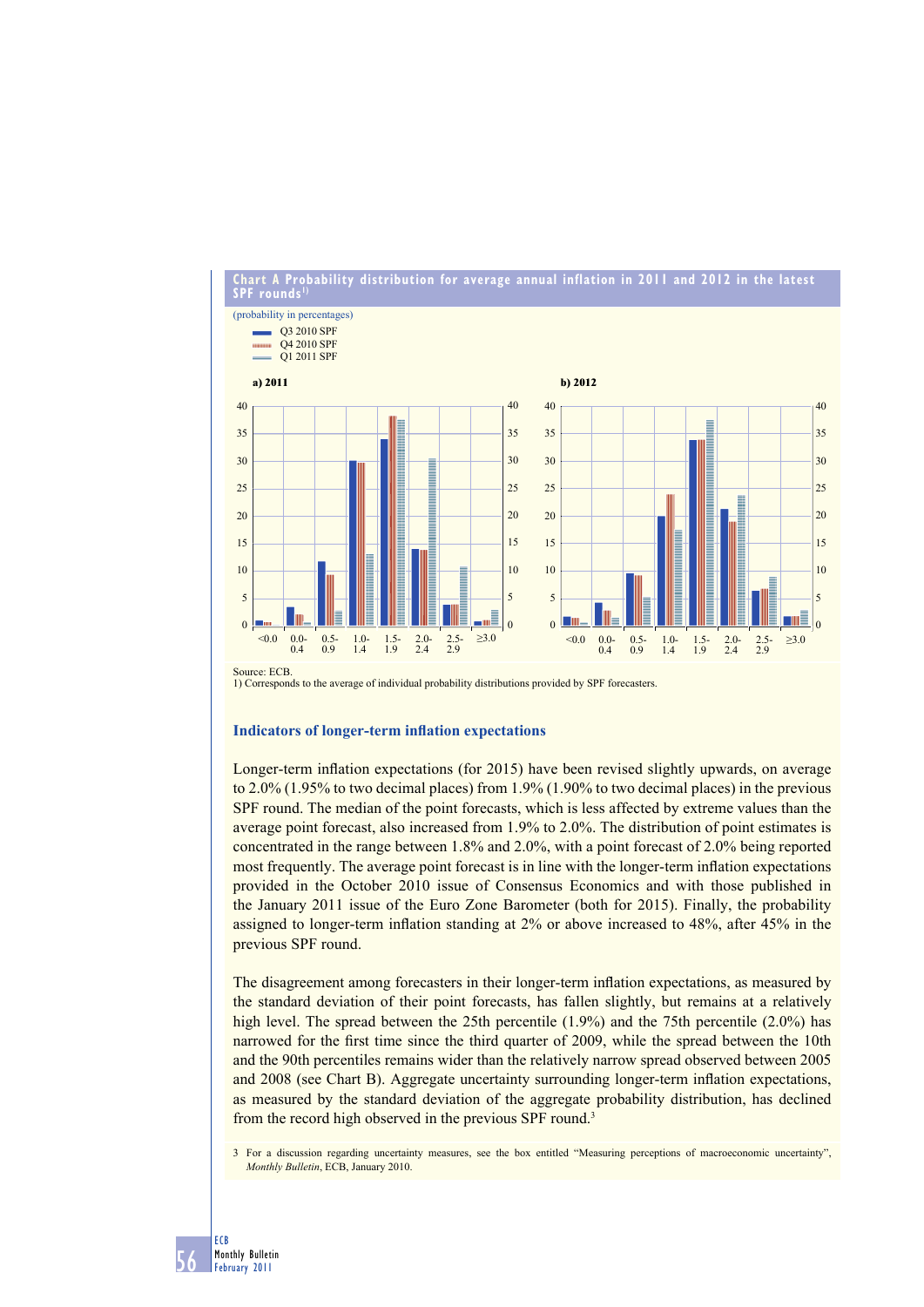

1) Corresponds to the average of individual probability distributions provided by SPF forecasters.

## **Indicators of longer-term inflation expectations**

Longer-term inflation expectations (for 2015) have been revised slightly upwards, on average to 2.0% (1.95% to two decimal places) from 1.9% (1.90% to two decimal places) in the previous SPF round. The median of the point forecasts, which is less affected by extreme values than the average point forecast, also increased from 1.9% to 2.0%. The distribution of point estimates is concentrated in the range between 1.8% and 2.0%, with a point forecast of 2.0% being reported most frequently. The average point forecast is in line with the longer-term inflation expectations provided in the October 2010 issue of Consensus Economics and with those published in the January 2011 issue of the Euro Zone Barometer (both for 2015). Finally, the probability assigned to longer-term inflation standing at 2% or above increased to 48%, after 45% in the previous SPF round.

The disagreement among forecasters in their longer-term inflation expectations, as measured by the standard deviation of their point forecasts, has fallen slightly, but remains at a relatively high level. The spread between the 25th percentile (1.9%) and the 75th percentile (2.0%) has narrowed for the first time since the third quarter of 2009, while the spread between the 10th and the 90th percentiles remains wider than the relatively narrow spread observed between 2005 and 2008 (see Chart B). Aggregate uncertainty surrounding longer-term inflation expectations, as measured by the standard deviation of the aggregate probability distribution, has declined from the record high observed in the previous SPF round.3

3 For a discussion regarding uncertainty measures, see the box entitled "Measuring perceptions of macroeconomic uncertainty", *Monthly Bulletin*, ECB, January 2010.

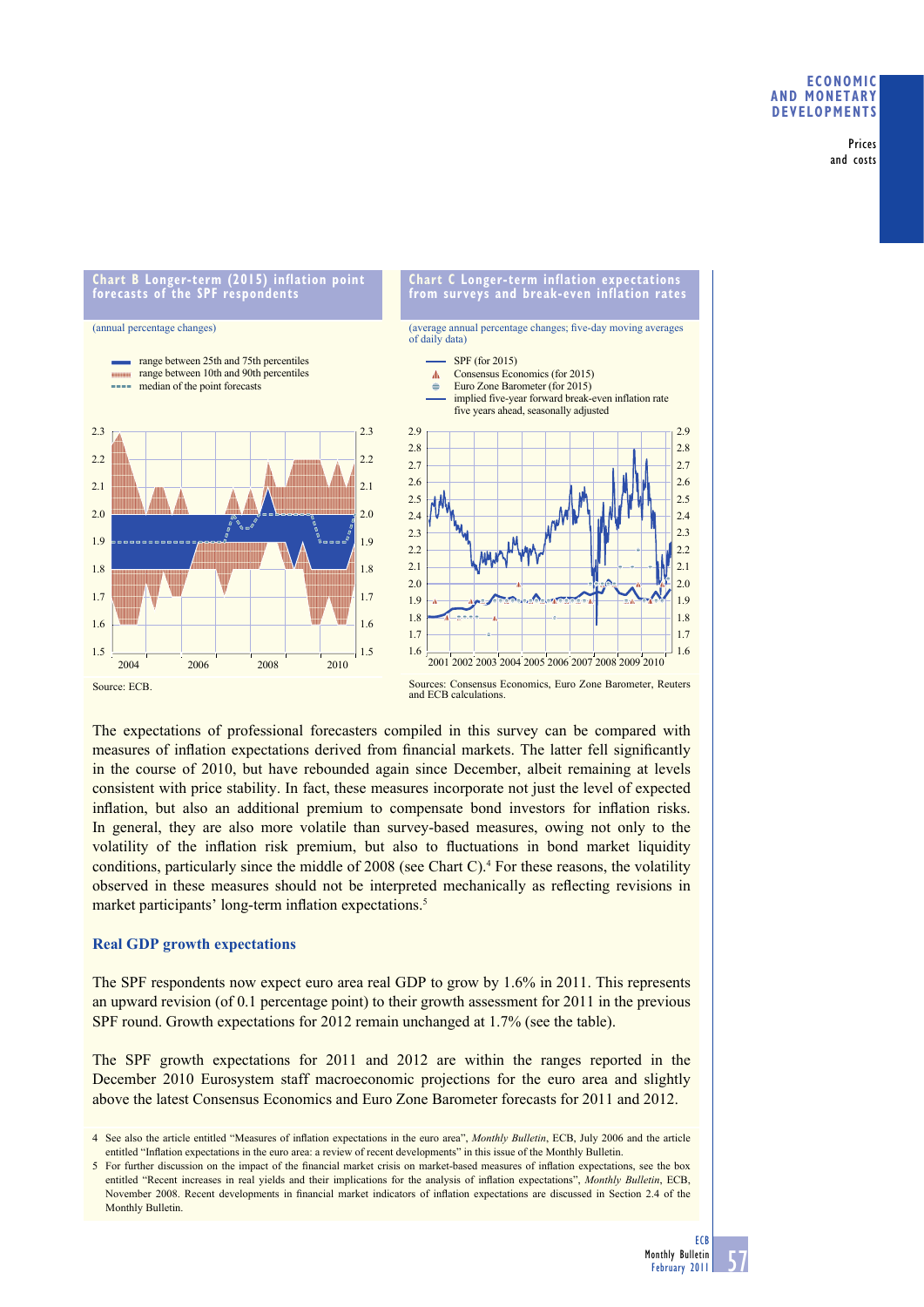### **ECONOMIC AND MONETARY DEVELOPMENTS**

Prices and costs

**forecasts of the SPF respondents** (annual percentage changes) range between 25th and 75th percentiles range between 10th and 90th percentiles **CONTRACTOR**  $\Lambda$ **Service** median of the point forecasts  $\Rightarrow$ 



**Chart B Longer-term (2015) inflation point** 



**Chart C Longer-term inflation expectations** 

Source: ECB.

Sources: Consensus Economics, Euro Zone Barometer, Reuters and ECB calculations.

The expectations of professional forecasters compiled in this survey can be compared with measures of inflation expectations derived from financial markets. The latter fell significantly in the course of 2010, but have rebounded again since December, albeit remaining at levels consistent with price stability. In fact, these measures incorporate not just the level of expected inflation, but also an additional premium to compensate bond investors for inflation risks. In general, they are also more volatile than survey-based measures, owing not only to the volatility of the inflation risk premium, but also to fluctuations in bond market liquidity conditions, particularly since the middle of 2008 (see Chart C).<sup>4</sup> For these reasons, the volatility observed in these measures should not be interpreted mechanically as reflecting revisions in market participants' long-term inflation expectations.<sup>5</sup>

## **Real GDP growth expectations**

The SPF respondents now expect euro area real GDP to grow by 1.6% in 2011. This represents an upward revision (of 0.1 percentage point) to their growth assessment for 2011 in the previous SPF round. Growth expectations for 2012 remain unchanged at 1.7% (see the table).

The SPF growth expectations for 2011 and 2012 are within the ranges reported in the December 2010 Eurosystem staff macroeconomic projections for the euro area and slightly above the latest Consensus Economics and Euro Zone Barometer forecasts for 2011 and 2012.

<sup>4</sup> See also the article entitled "Measures of inflation expectations in the euro area", *Monthly Bulletin*, ECB, July 2006 and the article entitled "Inflation expectations in the euro area: a review of recent developments" in this issue of the Monthly Bulletin.

<sup>5</sup> For further discussion on the impact of the financial market crisis on market-based measures of inflation expectations, see the box entitled "Recent increases in real yields and their implications for the analysis of inflation expectations", *Monthly Bulletin*, ECB, November 2008. Recent developments in financial market indicators of inflation expectations are discussed in Section 2.4 of the Monthly Bulletin.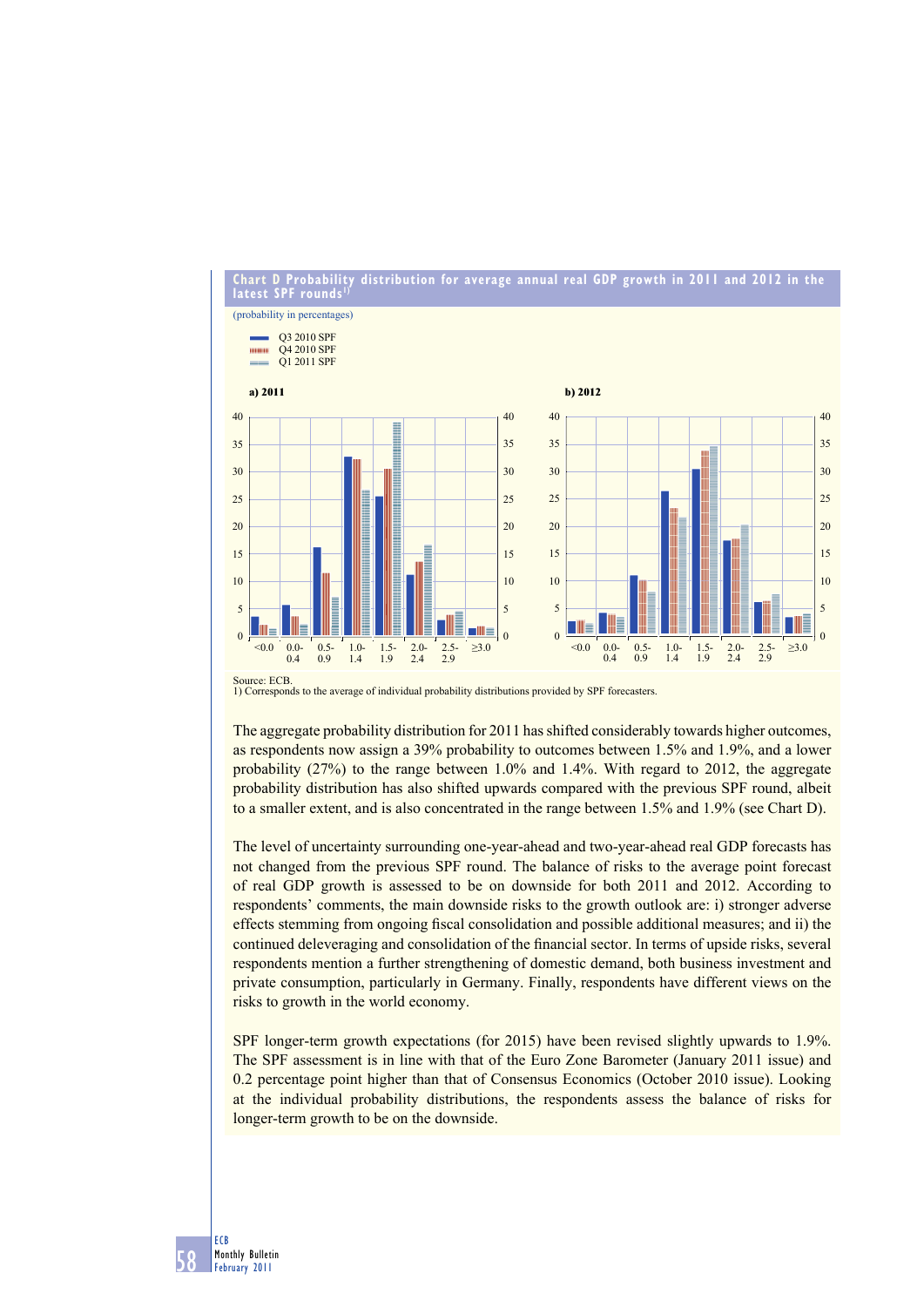

distribution for average annual real GDP growth in 2011 and 2012 in the **D** Probability<br>SPF rounds<sup>1)</sup>

Source: ECB. 1) Corresponds to the average of individual probability distributions provided by SPF forecasters.

The aggregate probability distribution for 2011 has shifted considerably towards higher outcomes, as respondents now assign a 39% probability to outcomes between 1.5% and 1.9%, and a lower probability (27%) to the range between 1.0% and 1.4%. With regard to 2012, the aggregate probability distribution has also shifted upwards compared with the previous SPF round, albeit to a smaller extent, and is also concentrated in the range between 1.5% and 1.9% (see Chart D).

The level of uncertainty surrounding one-year-ahead and two-year-ahead real GDP forecasts has not changed from the previous SPF round. The balance of risks to the average point forecast of real GDP growth is assessed to be on downside for both 2011 and 2012. According to respondents' comments, the main downside risks to the growth outlook are: i) stronger adverse effects stemming from ongoing fiscal consolidation and possible additional measures; and ii) the continued deleveraging and consolidation of the financial sector. In terms of upside risks, several respondents mention a further strengthening of domestic demand, both business investment and private consumption, particularly in Germany. Finally, respondents have different views on the risks to growth in the world economy.

SPF longer-term growth expectations (for 2015) have been revised slightly upwards to 1.9%. The SPF assessment is in line with that of the Euro Zone Barometer (January 2011 issue) and 0.2 percentage point higher than that of Consensus Economics (October 2010 issue). Looking at the individual probability distributions, the respondents assess the balance of risks for longer-term growth to be on the downside.